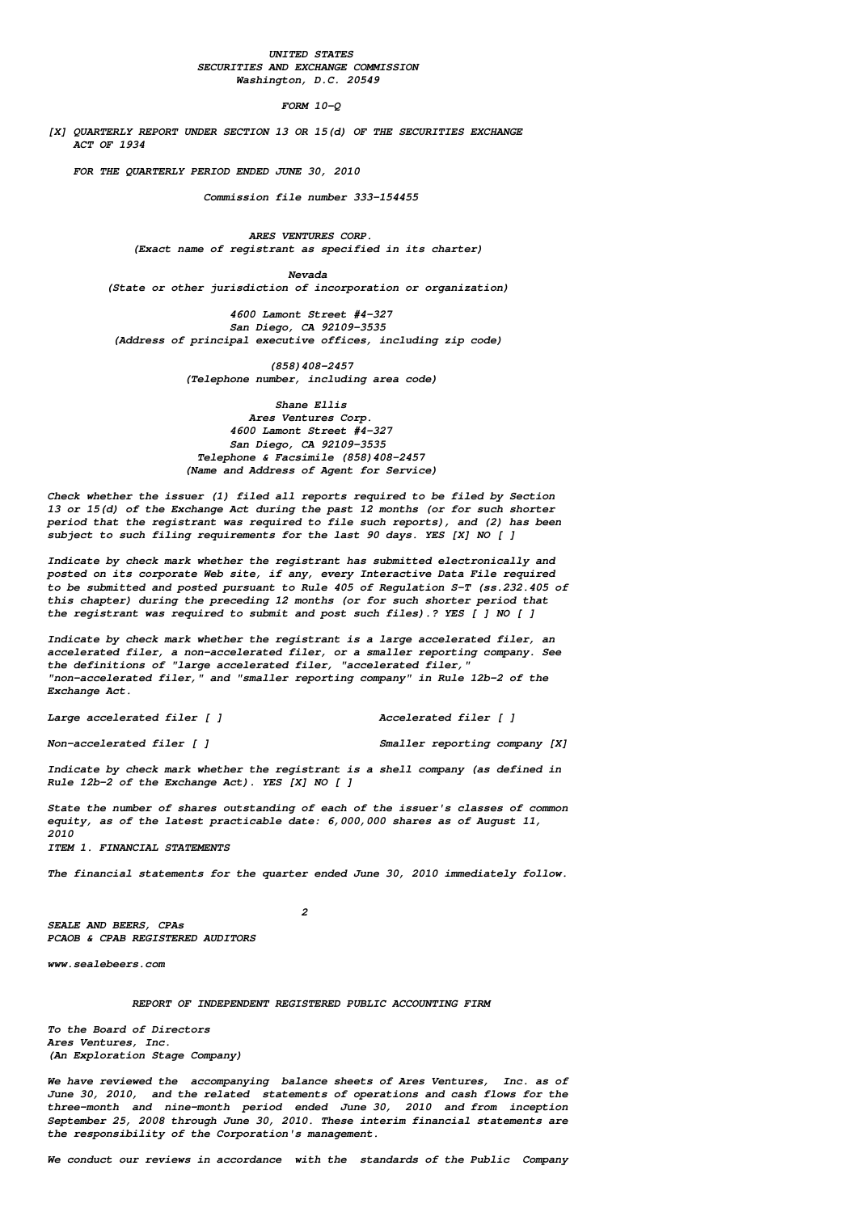### **UNITED STATES SECURITIES AND EXCHANGE COMMISSION Washington, D.C. 20549**

**FORM 10-Q**

**[X] QUARTERLY REPORT UNDER SECTION 13 OR 15(d) OF THE SECURITIES EXCHANGE ACT OF 1934**

**FOR THE QUARTERLY PERIOD ENDED JUNE 30, 2010**

**Commission file number 333-154455**

**ARES VENTURES CORP. (Exact name of registrant as specified in its charter)**

**Nevada (State or other jurisdiction of incorporation or organization)**

**4600 Lamont Street #4-327 San Diego, CA 92109-3535 (Address of principal executive offices, including zip code)**

> **(858)408-2457 (Telephone number, including area code)**

> **Shane Ellis Ares Ventures Corp. 4600 Lamont Street #4-327 San Diego, CA 92109-3535 Telephone & Facsimile (858)408-2457 (Name and Address of Agent for Service)**

**Check whether the issuer (1) filed all reports required to be filed by Section 13 or 15(d) of the Exchange Act during the past 12 months (or for such shorter period that the registrant was required to file such reports), and (2) has been subject to such filing requirements for the last 90 days. YES [X] NO [ ]**

**Indicate by check mark whether the registrant has submitted electronically and posted on its corporate Web site, if any, every Interactive Data File required to be submitted and posted pursuant to Rule 405 of Regulation S-T (ss.232.405 of this chapter) during the preceding 12 months (or for such shorter period that the registrant was required to submit and post such files).? YES [ ] NO [ ]**

**Indicate by check mark whether the registrant is a large accelerated filer, an accelerated filer, a non-accelerated filer, or a smaller reporting company. See the definitions of "large accelerated filer, "accelerated filer," "non-accelerated filer," and "smaller reporting company" in Rule 12b-2 of the Exchange Act.**

**Large accelerated filer [ ] Accelerated filer [ ]**

**Non-accelerated filer [ ] Smaller reporting company [X]**

**Indicate by check mark whether the registrant is a shell company (as defined in Rule 12b-2 of the Exchange Act). YES [X] NO [ ]**

**State the number of shares outstanding of each of the issuer's classes of common equity, as of the latest practicable date: 6,000,000 shares as of August 11, 2010**

**ITEM 1. FINANCIAL STATEMENTS**

**The financial statements for the quarter ended June 30, 2010 immediately follow.**

**2**

**SEALE AND BEERS, CPAs PCAOB & CPAB REGISTERED AUDITORS**

**www.sealebeers.com**

### **REPORT OF INDEPENDENT REGISTERED PUBLIC ACCOUNTING FIRM**

**To the Board of Directors Ares Ventures, Inc. (An Exploration Stage Company)**

**We have reviewed the accompanying balance sheets of Ares Ventures, Inc. as of June 30, 2010, and the related statements of operations and cash flows for the three-month and nine-month period ended June 30, 2010 and from inception September 25, 2008 through June 30, 2010. These interim financial statements are the responsibility of the Corporation's management.**

**We conduct our reviews in accordance with the standards of the Public Company**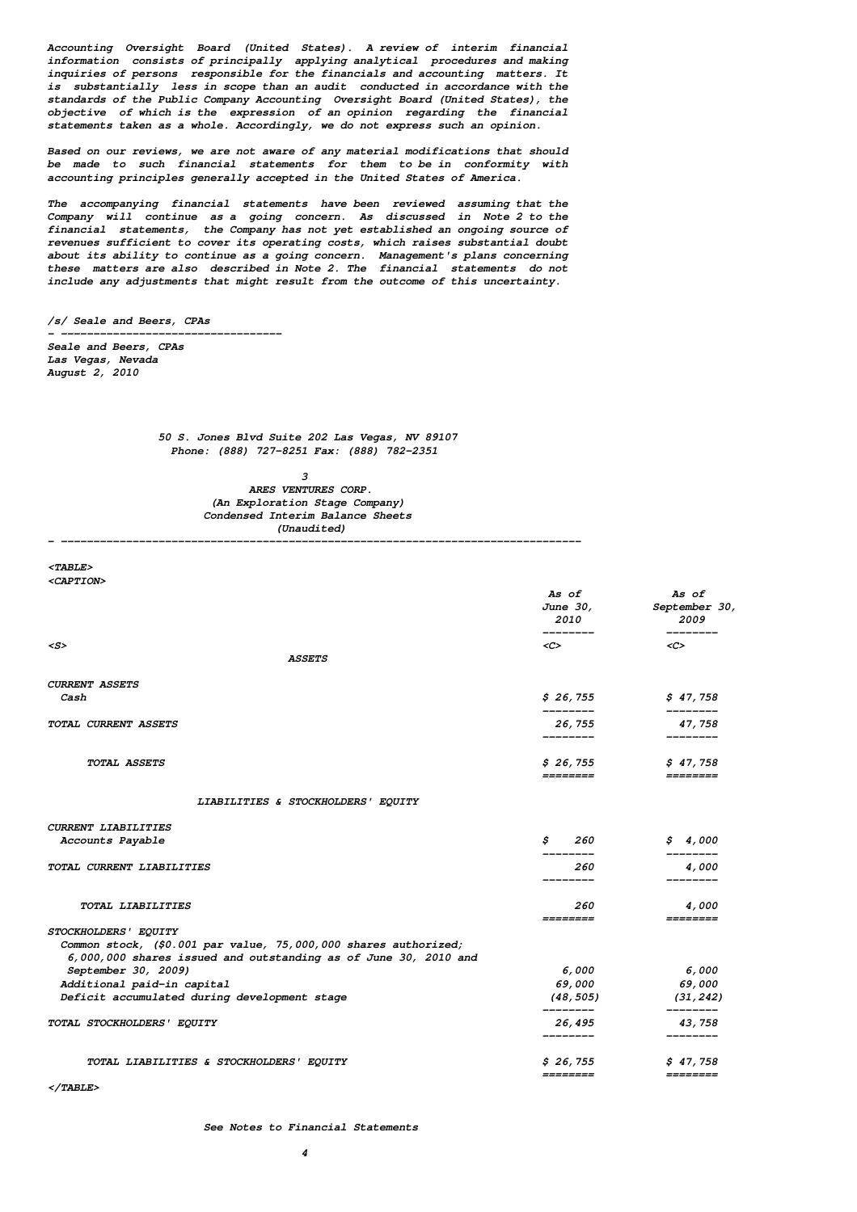**Accounting Oversight Board (United States). A review of interim financial information consists of principally applying analytical procedures and making inquiries of persons responsible for the financials and accounting matters. It is substantially less in scope than an audit conducted in accordance with the standards of the Public Company Accounting Oversight Board (United States), the objective of which is the expression of an opinion regarding the financial statements taken as a whole. Accordingly, we do not express such an opinion.**

**Based on our reviews, we are not aware of any material modifications that should be made to such financial statements for them to be in conformity with accounting principles generally accepted in the United States of America.**

**The accompanying financial statements have been reviewed assuming that the Company will continue as a going concern. As discussed in Note 2 to the financial statements, the Company has not yet established an ongoing source of revenues sufficient to cover its operating costs, which raises substantial doubt about its ability to continue as a going concern. Management's plans concerning these matters are also described in Note 2. The financial statements do not include any adjustments that might result from the outcome of this uncertainty.**

**/s/ Seale and Beers, CPAs**

**- ----------------------------------**

**Seale and Beers, CPAs Las Vegas, Nevada August 2, 2010**

**<TABLE>**

**50 S. Jones Blvd Suite 202 Las Vegas, NV 89107 Phone: (888) 727-8251 Fax: (888) 782-2351**

**3 ARES VENTURES CORP. (An Exploration Stage Company) Condensed Interim Balance Sheets (Unaudited) - --------------------------------------------------------------------------------**

| As of<br>June 30,<br>2010       | As of<br>September 30,<br>2009          |
|---------------------------------|-----------------------------------------|
| <c></c>                         | $\langle C \rangle$                     |
|                                 |                                         |
| \$26,755                        | \$47,758<br>---------                   |
| 26, 755<br>________             | 47,758<br>________                      |
| \$26,755<br>========            | \$47,758                                |
|                                 |                                         |
|                                 |                                         |
| \$<br>260                       | \$4,000                                 |
| 260                             | 4,000<br>-------                        |
| 260<br>========                 | 4,000<br>========                       |
|                                 |                                         |
| 6,000                           | 6,000                                   |
| (48, 505)                       | 69,000<br>(31, 242)                     |
| ---------<br>26,495<br>________ | ---------<br>43,758<br>_______          |
| \$26,755                        | \$47,758<br>$=$ $=$ $=$ $=$ $=$ $=$ $=$ |
|                                 | ________<br>69,000                      |

**</TABLE>**

**See Notes to Financial Statements**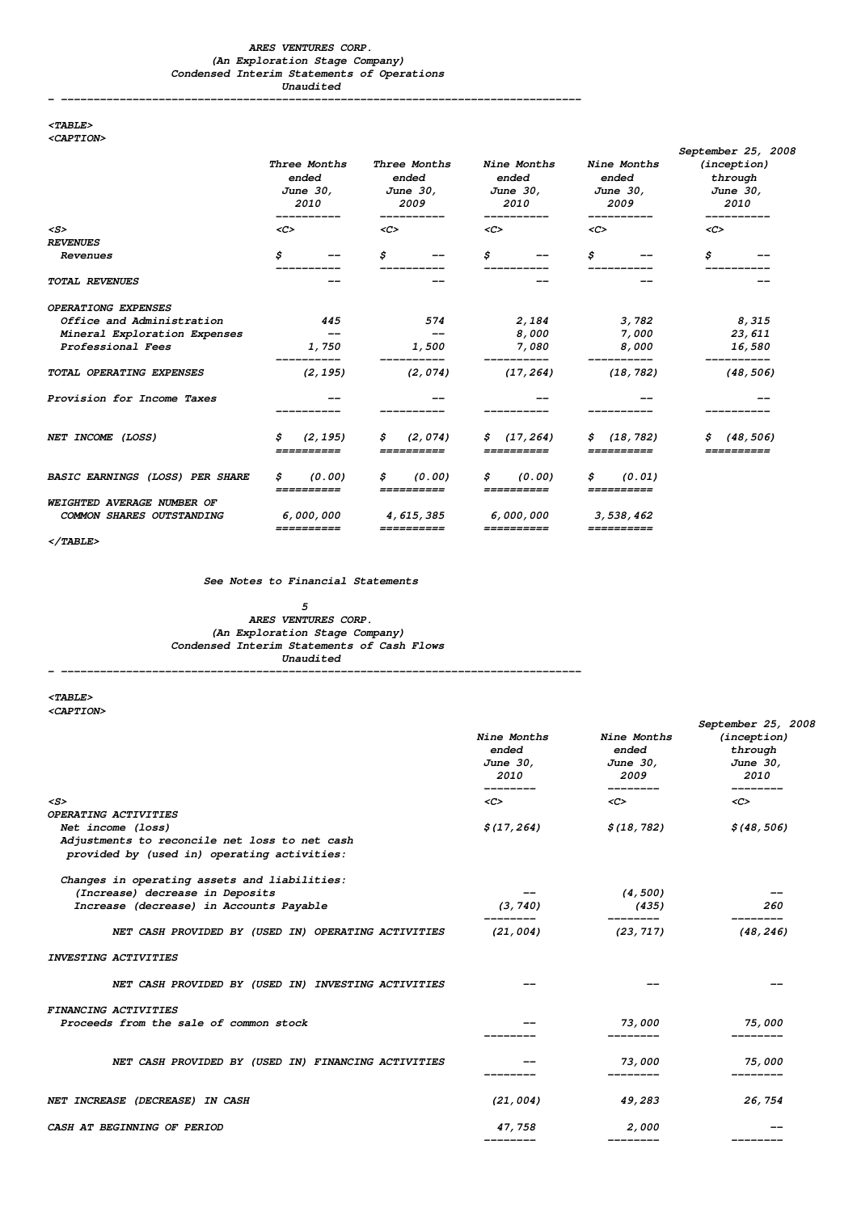# **ARES VENTURES CORP. (An Exploration Stage Company) Condensed Interim Statements of Operations Unaudited**

**- --------------------------------------------------------------------------------**

### **<TABLE> <CAPTION>**

| - CAF 11017                            |                     |                                              |                     |                                                                                           |                     |                     |                     |                                     |                     | September 25, 2008                         |
|----------------------------------------|---------------------|----------------------------------------------|---------------------|-------------------------------------------------------------------------------------------|---------------------|---------------------|---------------------|-------------------------------------|---------------------|--------------------------------------------|
|                                        |                     | Three Months<br>ended<br>2010<br>----------- |                     | Three Months<br>ended<br>June 30, $J$ une 30, $J$ une 30, $J$ une 30, $J$ une 30,<br>2009 | ended               | Nine Months<br>2010 |                     | <i>Nine Months</i><br>ended<br>2009 |                     | (inception)<br>through<br>June 30,<br>2010 |
| $\langle S \rangle$                    | $\langle C \rangle$ |                                              | $\langle C \rangle$ |                                                                                           | $\langle C \rangle$ |                     | $\langle C \rangle$ |                                     | $\langle C \rangle$ |                                            |
| <b>REVENUES</b>                        |                     |                                              |                     |                                                                                           |                     |                     |                     |                                     |                     |                                            |
| Revenues                               | \$                  |                                              | \$                  |                                                                                           | Ŝ.                  |                     | \$                  |                                     | \$                  |                                            |
| <b>TOTAL REVENUES</b>                  |                     |                                              |                     |                                                                                           |                     |                     |                     |                                     |                     |                                            |
| OPERATIONG EXPENSES                    |                     |                                              |                     |                                                                                           |                     |                     |                     |                                     |                     |                                            |
| Office and Administration              |                     | 445                                          |                     | 574 2,184 3,782 8,315                                                                     |                     |                     |                     |                                     |                     |                                            |
| Mineral Exploration Expenses           |                     | $-$                                          |                     |                                                                                           |                     |                     |                     | 8,000 7,000                         |                     | 23,611                                     |
| Professional Fees                      |                     |                                              |                     | 1,750      1,500      7,080      8,000                                                    |                     | ----------          |                     |                                     |                     | 16,580                                     |
| TOTAL OPERATING EXPENSES               |                     | (2, 195)                                     |                     | (2, 074)                                                                                  |                     | (17, 264)           |                     | ----------<br>(18, 782)             |                     | ----------<br>(48,506)                     |
| Provision for Income Taxes             |                     |                                              |                     |                                                                                           |                     |                     |                     |                                     |                     |                                            |
|                                        |                     |                                              |                     |                                                                                           |                     |                     |                     |                                     |                     |                                            |
| NET INCOME (LOSS)                      |                     |                                              |                     | $\sharp$ (2,195) $\sharp$ (2,074)                                                         |                     | \$(17, 264)         |                     | \$(18, 782)                         |                     | \$(48, 506)                                |
| <b>BASIC EARNINGS (LOSS) PER SHARE</b> |                     | $\dot{s}$ (0.00)                             | \$                  | (0.00)                                                                                    | \$                  | (0.00)              |                     | $\frac{s}{6}$ (0.01)                |                     |                                            |
|                                        |                     | ==========                                   |                     | ==========                                                                                |                     | ==========          |                     | ==========                          |                     |                                            |
| WEIGHTED AVERAGE NUMBER OF             |                     |                                              |                     |                                                                                           |                     |                     |                     |                                     |                     |                                            |
| COMMON SHARES OUTSTANDING              |                     | 6,000,000                                    |                     | 4,615,385                                                                                 |                     | 6,000,000           |                     | 3,538,462                           |                     |                                            |
|                                        |                     | ==========                                   |                     | ==========                                                                                |                     | ==========          |                     | ==========                          |                     |                                            |

**</TABLE>**

# **See Notes to Financial Statements**

**5 ARES VENTURES CORP. (An Exploration Stage Company) Condensed Interim Statements of Cash Flows Unaudited**

**- --------------------------------------------------------------------------------**

**<TABLE> <CAPTION>**

| ৲๛๛๚๛                                                                                                             |                                                     |                                                      |                                                                             |
|-------------------------------------------------------------------------------------------------------------------|-----------------------------------------------------|------------------------------------------------------|-----------------------------------------------------------------------------|
|                                                                                                                   | Nine Months<br>ended<br>June 30,<br>2010<br>_______ | Nine Months<br>ended<br>June 30,<br>2009<br>________ | September 25, 2008<br>(inception)<br>through<br>June 30,<br>2010<br>_______ |
| <s></s>                                                                                                           | $\langle C \rangle$                                 | <c></c>                                              | $\langle C \rangle$                                                         |
| OPERATING ACTIVITIES                                                                                              |                                                     |                                                      |                                                                             |
| Net income (loss)<br>Adjustments to reconcile net loss to net cash<br>provided by (used in) operating activities: | \$(17, 264)                                         | \$(18,782)                                           | \$(48, 506)                                                                 |
| Changes in operating assets and liabilities:<br>(Increase) decrease in Deposits                                   |                                                     | (4, 500)                                             |                                                                             |
| Increase (decrease) in Accounts Payable                                                                           | (3,740)<br>--------                                 | (435)<br>---------                                   | 260<br>--------                                                             |
| NET CASH PROVIDED BY (USED IN) OPERATING ACTIVITIES                                                               | (21,004)                                            | (23, 717)                                            | (48, 246)                                                                   |
| INVESTING ACTIVITIES                                                                                              |                                                     |                                                      |                                                                             |
| NET CASH PROVIDED BY (USED IN) INVESTING ACTIVITIES                                                               |                                                     |                                                      |                                                                             |
| FINANCING ACTIVITIES                                                                                              |                                                     |                                                      |                                                                             |
| Proceeds from the sale of common stock                                                                            |                                                     | 73,000                                               | 75,000                                                                      |
| NET CASH PROVIDED BY (USED IN) FINANCING ACTIVITIES                                                               |                                                     | 73,000<br>________                                   | 75,000                                                                      |
| NET INCREASE (DECREASE) IN CASH                                                                                   | (21,004)                                            | 49,283                                               | 26,754                                                                      |
| CASH AT BEGINNING OF PERIOD                                                                                       | 47,758                                              | <i>2,000</i>                                         |                                                                             |
|                                                                                                                   | ________                                            | _______                                              |                                                                             |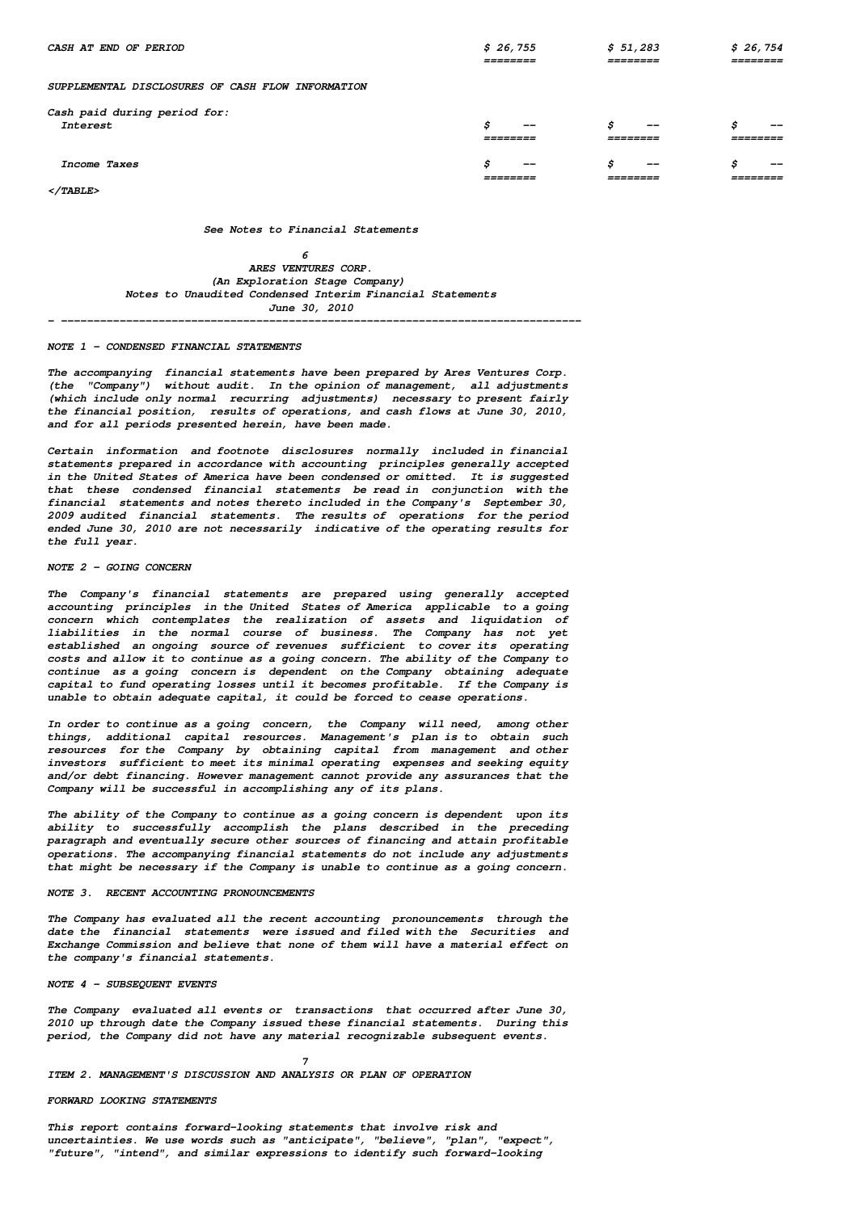| CASH AT END OF PERIOD                             | \$26,755      |       | \$51,283             |    | \$26,754 |    |
|---------------------------------------------------|---------------|-------|----------------------|----|----------|----|
|                                                   | ========      |       | --------<br>-------- |    | ======== |    |
| SUPPLEMENTAL DISCLOSURES OF CASH FLOW INFORMATION |               |       |                      |    |          |    |
| Cash paid during period for:                      |               |       |                      |    |          |    |
| Interest                                          | \$<br>_______ | $- -$ | s<br>-----           | -- | Ŝ        | -- |
|                                                   |               |       |                      |    |          |    |
| Income Taxes                                      | s             | $- -$ | s                    | -- | s        |    |
|                                                   | _______       |       | -----                |    | ------   |    |

**</TABLE>**

**See Notes to Financial Statements**

**6 ARES VENTURES CORP. (An Exploration Stage Company) Notes to Unaudited Condensed Interim Financial Statements June 30, 2010**

**- --------------------------------------------------------------------------------**

#### **NOTE 1 - CONDENSED FINANCIAL STATEMENTS**

**The accompanying financial statements have been prepared by Ares Ventures Corp. (the "Company") without audit. In the opinion of management, all adjustments (which include only normal recurring adjustments) necessary to present fairly the financial position, results of operations, and cash flows at June 30, 2010, and for all periods presented herein, have been made.**

**Certain information and footnote disclosures normally included in financial statements prepared in accordance with accounting principles generally accepted in the United States of America have been condensed or omitted. It is suggested that these condensed financial statements be read in conjunction with the financial statements and notes thereto included in the Company's September 30, 2009 audited financial statements. The results of operations for the period ended June 30, 2010 are not necessarily indicative of the operating results for the full year.**

### **NOTE 2 - GOING CONCERN**

**The Company's financial statements are prepared using generally accepted accounting principles in the United States of America applicable to a going concern which contemplates the realization of assets and liquidation of liabilities in the normal course of business. The Company has not yet established an ongoing source of revenues sufficient to cover its operating costs and allow it to continue as a going concern. The ability of the Company to continue as a going concern is dependent on the Company obtaining adequate capital to fund operating losses until it becomes profitable. If the Company is unable to obtain adequate capital, it could be forced to cease operations.**

**In order to continue as a going concern, the Company will need, among other things, additional capital resources. Management's plan is to obtain such resources for the Company by obtaining capital from management and other investors sufficient to meet its minimal operating expenses and seeking equity and/or debt financing. However management cannot provide any assurances that the Company will be successful in accomplishing any of its plans.**

**The ability of the Company to continue as a going concern is dependent upon its ability to successfully accomplish the plans described in the preceding paragraph and eventually secure other sources of financing and attain profitable operations. The accompanying financial statements do not include any adjustments that might be necessary if the Company is unable to continue as a going concern.**

### **NOTE 3. RECENT ACCOUNTING PRONOUNCEMENTS**

**The Company has evaluated all the recent accounting pronouncements through the date the financial statements were issued and filed with the Securities and Exchange Commission and believe that none of them will have a material effect on the company's financial statements.**

# **NOTE 4 - SUBSEQUENT EVENTS**

**The Company evaluated all events or transactions that occurred after June 30, 2010 up through date the Company issued these financial statements. During this period, the Company did not have any material recognizable subsequent events.**

**7 ITEM 2. MANAGEMENT'S DISCUSSION AND ANALYSIS OR PLAN OF OPERATION**

### **FORWARD LOOKING STATEMENTS**

**This report contains forward-looking statements that involve risk and uncertainties. We use words such as "anticipate", "believe", "plan", "expect", "future", "intend", and similar expressions to identify such forward-looking**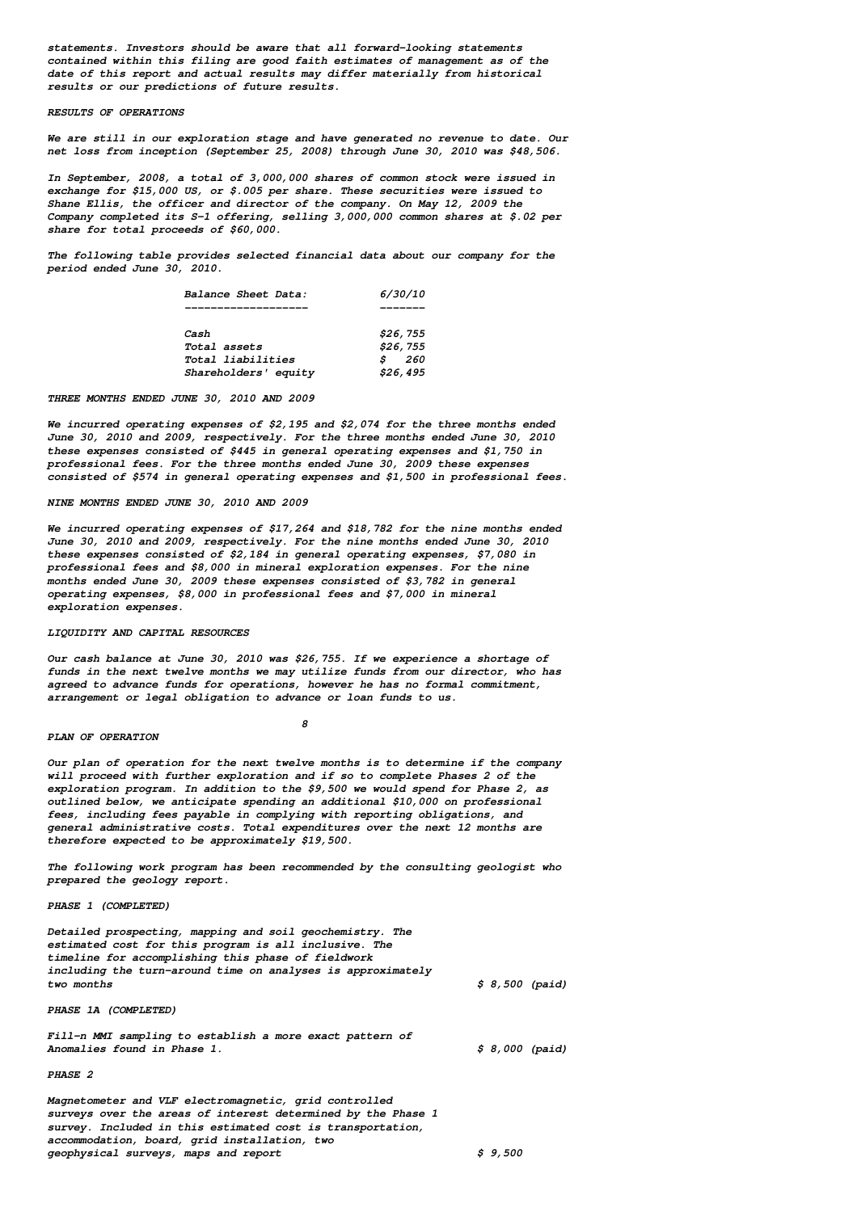**statements. Investors should be aware that all forward-looking statements contained within this filing are good faith estimates of management as of the date of this report and actual results may differ materially from historical results or our predictions of future results.**

#### **RESULTS OF OPERATIONS**

**We are still in our exploration stage and have generated no revenue to date. Our net loss from inception (September 25, 2008) through June 30, 2010 was \$48,506.**

**In September, 2008, a total of 3,000,000 shares of common stock were issued in exchange for \$15,000 US, or \$.005 per share. These securities were issued to Shane Ellis, the officer and director of the company. On May 12, 2009 the Company completed its S-1 offering, selling 3,000,000 common shares at \$.02 per share for total proceeds of \$60,000.**

**The following table provides selected financial data about our company for the period ended June 30, 2010.**

| Balance Sheet Data:  | 6/30/10   |
|----------------------|-----------|
|                      |           |
|                      |           |
| Cash                 | \$26,755  |
| Total assets         | \$26,755  |
| Total liabilities    | 260<br>s. |
| Shareholders' equity | \$26,495  |

### **THREE MONTHS ENDED JUNE 30, 2010 AND 2009**

**We incurred operating expenses of \$2,195 and \$2,074 for the three months ended June 30, 2010 and 2009, respectively. For the three months ended June 30, 2010 these expenses consisted of \$445 in general operating expenses and \$1,750 in professional fees. For the three months ended June 30, 2009 these expenses consisted of \$574 in general operating expenses and \$1,500 in professional fees.**

### **NINE MONTHS ENDED JUNE 30, 2010 AND 2009**

**We incurred operating expenses of \$17,264 and \$18,782 for the nine months ended June 30, 2010 and 2009, respectively. For the nine months ended June 30, 2010 these expenses consisted of \$2,184 in general operating expenses, \$7,080 in professional fees and \$8,000 in mineral exploration expenses. For the nine months ended June 30, 2009 these expenses consisted of \$3,782 in general operating expenses, \$8,000 in professional fees and \$7,000 in mineral exploration expenses.**

### **LIQUIDITY AND CAPITAL RESOURCES**

**Our cash balance at June 30, 2010 was \$26,755. If we experience a shortage of funds in the next twelve months we may utilize funds from our director, who has agreed to advance funds for operations, however he has no formal commitment, arrangement or legal obligation to advance or loan funds to us.**

#### **PLAN OF OPERATION**

**8**

**Our plan of operation for the next twelve months is to determine if the company will proceed with further exploration and if so to complete Phases 2 of the exploration program. In addition to the \$9,500 we would spend for Phase 2, as outlined below, we anticipate spending an additional \$10,000 on professional fees, including fees payable in complying with reporting obligations, and general administrative costs. Total expenditures over the next 12 months are therefore expected to be approximately \$19,500.**

**The following work program has been recommended by the consulting geologist who prepared the geology report.**

**PHASE 1 (COMPLETED)**

| Detailed prospecting, mapping and soil geochemistry. The<br>estimated cost for this program is all inclusive. The |                 |  |
|-------------------------------------------------------------------------------------------------------------------|-----------------|--|
| timeline for accomplishing this phase of fieldwork                                                                |                 |  |
| including the turn-around time on analyses is approximately                                                       |                 |  |
| two months                                                                                                        | \$ 8,500 (paid) |  |
|                                                                                                                   |                 |  |
| PHASE 1A (COMPLETED)                                                                                              |                 |  |
|                                                                                                                   |                 |  |
| Fill-n MMI sampling to establish a more exact pattern of                                                          |                 |  |
| Anomalies found in Phase 1.<br>\$ 8,000 (paid)                                                                    |                 |  |
|                                                                                                                   |                 |  |
| PHASE 2                                                                                                           |                 |  |
|                                                                                                                   |                 |  |
| Magnetometer and VLF electromagnetic, grid controlled                                                             |                 |  |
| surveys over the areas of interest determined by the Phase 1                                                      |                 |  |

**survey. Included in this estimated cost is transportation, accommodation, board, grid installation, two geophysical surveys, maps and report \$ 9,500**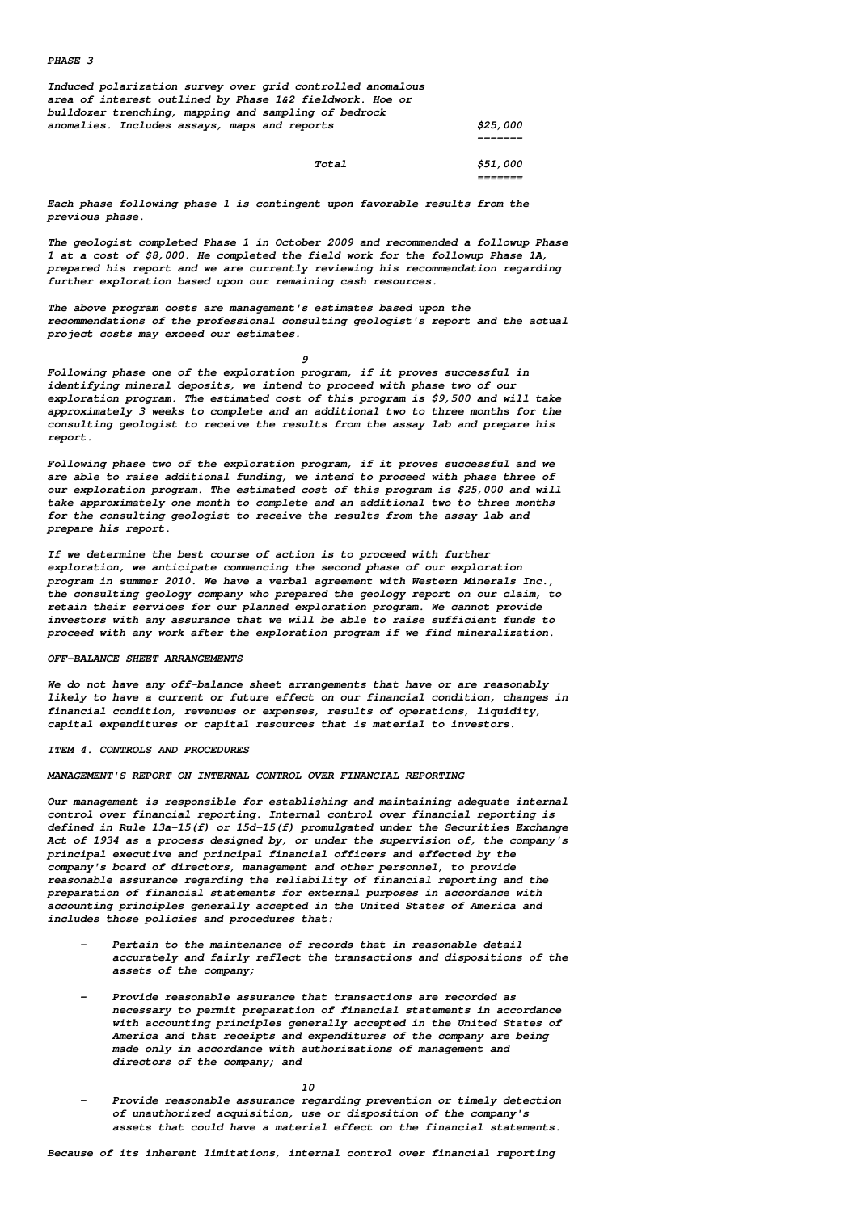### **PHASE 3**

**Induced polarization survey over grid controlled anomalous area of interest outlined by Phase 1&2 fieldwork. Hoe or bulldozer trenching, mapping and sampling of bedrock anomalies. Includes assays, maps and reports \$25,000**

| Total | <i><b>\$51,000</b></i> |
|-------|------------------------|
|       | -------<br>____<br>--  |

**-------**

**Each phase following phase 1 is contingent upon favorable results from the previous phase.**

**The geologist completed Phase 1 in October 2009 and recommended a followup Phase 1 at a cost of \$8,000. He completed the field work for the followup Phase 1A, prepared his report and we are currently reviewing his recommendation regarding further exploration based upon our remaining cash resources.**

**The above program costs are management's estimates based upon the recommendations of the professional consulting geologist's report and the actual project costs may exceed our estimates.**

**9**

**Following phase one of the exploration program, if it proves successful in identifying mineral deposits, we intend to proceed with phase two of our exploration program. The estimated cost of this program is \$9,500 and will take approximately 3 weeks to complete and an additional two to three months for the consulting geologist to receive the results from the assay lab and prepare his report.**

**Following phase two of the exploration program, if it proves successful and we are able to raise additional funding, we intend to proceed with phase three of our exploration program. The estimated cost of this program is \$25,000 and will take approximately one month to complete and an additional two to three months for the consulting geologist to receive the results from the assay lab and prepare his report.**

**If we determine the best course of action is to proceed with further exploration, we anticipate commencing the second phase of our exploration program in summer 2010. We have a verbal agreement with Western Minerals Inc., the consulting geology company who prepared the geology report on our claim, to retain their services for our planned exploration program. We cannot provide investors with any assurance that we will be able to raise sufficient funds to proceed with any work after the exploration program if we find mineralization.**

# **OFF-BALANCE SHEET ARRANGEMENTS**

**We do not have any off-balance sheet arrangements that have or are reasonably likely to have a current or future effect on our financial condition, changes in financial condition, revenues or expenses, results of operations, liquidity, capital expenditures or capital resources that is material to investors.**

#### **ITEM 4. CONTROLS AND PROCEDURES**

**MANAGEMENT'S REPORT ON INTERNAL CONTROL OVER FINANCIAL REPORTING**

**Our management is responsible for establishing and maintaining adequate internal control over financial reporting. Internal control over financial reporting is defined in Rule 13a-15(f) or 15d-15(f) promulgated under the Securities Exchange Act of 1934 as a process designed by, or under the supervision of, the company's principal executive and principal financial officers and effected by the company's board of directors, management and other personnel, to provide reasonable assurance regarding the reliability of financial reporting and the preparation of financial statements for external purposes in accordance with accounting principles generally accepted in the United States of America and includes those policies and procedures that:**

- **- Pertain to the maintenance of records that in reasonable detail accurately and fairly reflect the transactions and dispositions of the assets of the company;**
- **- Provide reasonable assurance that transactions are recorded as necessary to permit preparation of financial statements in accordance with accounting principles generally accepted in the United States of America and that receipts and expenditures of the company are being made only in accordance with authorizations of management and directors of the company; and**

**10**

**- Provide reasonable assurance regarding prevention or timely detection of unauthorized acquisition, use or disposition of the company's assets that could have a material effect on the financial statements.**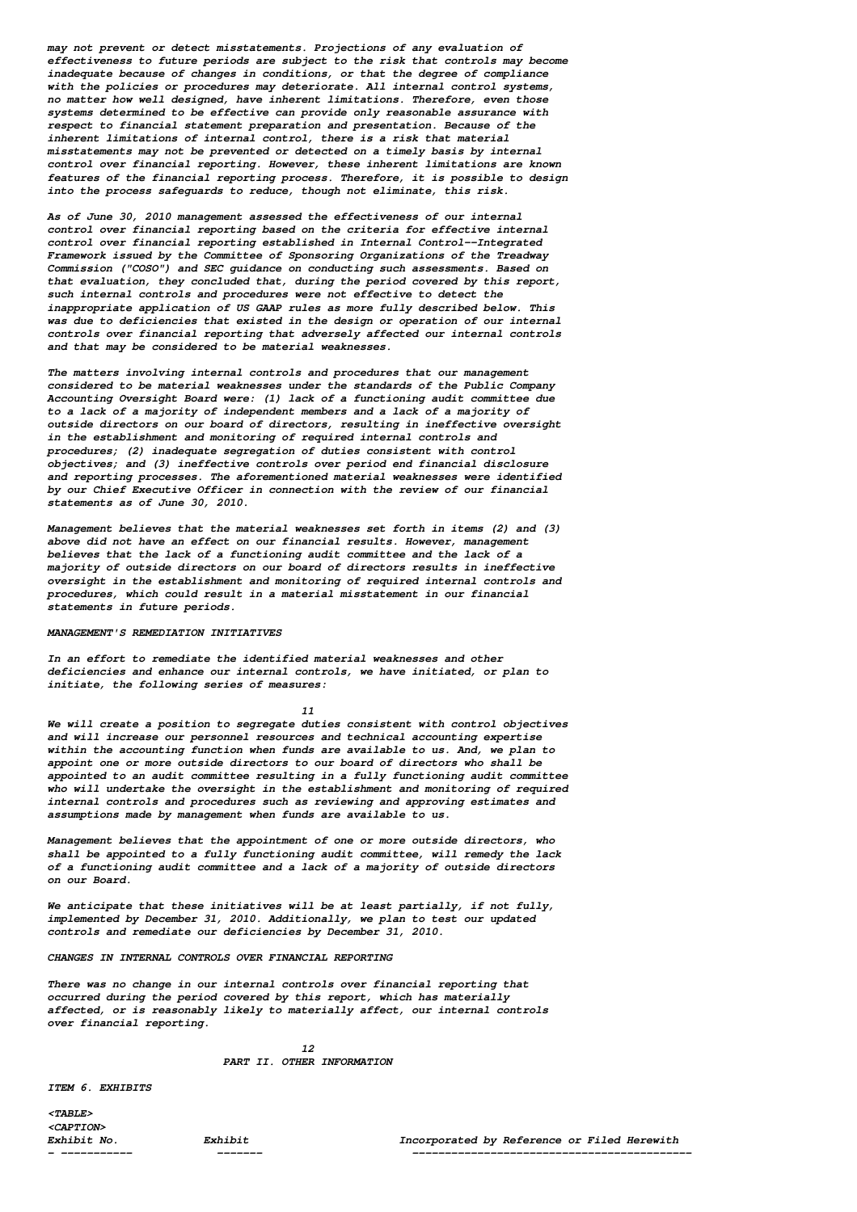**may not prevent or detect misstatements. Projections of any evaluation of effectiveness to future periods are subject to the risk that controls may become inadequate because of changes in conditions, or that the degree of compliance with the policies or procedures may deteriorate. All internal control systems, no matter how well designed, have inherent limitations. Therefore, even those systems determined to be effective can provide only reasonable assurance with respect to financial statement preparation and presentation. Because of the inherent limitations of internal control, there is a risk that material misstatements may not be prevented or detected on a timely basis by internal control over financial reporting. However, these inherent limitations are known features of the financial reporting process. Therefore, it is possible to design into the process safeguards to reduce, though not eliminate, this risk.**

**As of June 30, 2010 management assessed the effectiveness of our internal control over financial reporting based on the criteria for effective internal control over financial reporting established in Internal Control--Integrated Framework issued by the Committee of Sponsoring Organizations of the Treadway Commission ("COSO") and SEC guidance on conducting such assessments. Based on that evaluation, they concluded that, during the period covered by this report, such internal controls and procedures were not effective to detect the inappropriate application of US GAAP rules as more fully described below. This was due to deficiencies that existed in the design or operation of our internal controls over financial reporting that adversely affected our internal controls and that may be considered to be material weaknesses.**

**The matters involving internal controls and procedures that our management considered to be material weaknesses under the standards of the Public Company Accounting Oversight Board were: (1) lack of a functioning audit committee due to a lack of a majority of independent members and a lack of a majority of outside directors on our board of directors, resulting in ineffective oversight in the establishment and monitoring of required internal controls and procedures; (2) inadequate segregation of duties consistent with control objectives; and (3) ineffective controls over period end financial disclosure and reporting processes. The aforementioned material weaknesses were identified by our Chief Executive Officer in connection with the review of our financial statements as of June 30, 2010.**

**Management believes that the material weaknesses set forth in items (2) and (3) above did not have an effect on our financial results. However, management believes that the lack of a functioning audit committee and the lack of a majority of outside directors on our board of directors results in ineffective oversight in the establishment and monitoring of required internal controls and procedures, which could result in a material misstatement in our financial statements in future periods.**

#### **MANAGEMENT'S REMEDIATION INITIATIVES**

**In an effort to remediate the identified material weaknesses and other deficiencies and enhance our internal controls, we have initiated, or plan to initiate, the following series of measures:**

**11**

**We will create a position to segregate duties consistent with control objectives and will increase our personnel resources and technical accounting expertise within the accounting function when funds are available to us. And, we plan to appoint one or more outside directors to our board of directors who shall be appointed to an audit committee resulting in a fully functioning audit committee who will undertake the oversight in the establishment and monitoring of required internal controls and procedures such as reviewing and approving estimates and assumptions made by management when funds are available to us.**

**Management believes that the appointment of one or more outside directors, who shall be appointed to a fully functioning audit committee, will remedy the lack of a functioning audit committee and a lack of a majority of outside directors on our Board.**

**We anticipate that these initiatives will be at least partially, if not fully, implemented by December 31, 2010. Additionally, we plan to test our updated controls and remediate our deficiencies by December 31, 2010.**

**CHANGES IN INTERNAL CONTROLS OVER FINANCIAL REPORTING**

**There was no change in our internal controls over financial reporting that occurred during the period covered by this report, which has materially affected, or is reasonably likely to materially affect, our internal controls over financial reporting.**

> **12 PART II. OTHER INFORMATION**

**ITEM 6. EXHIBITS**

**<TABLE> <CAPTION>**

**- ----------- ------- -------------------------------------------**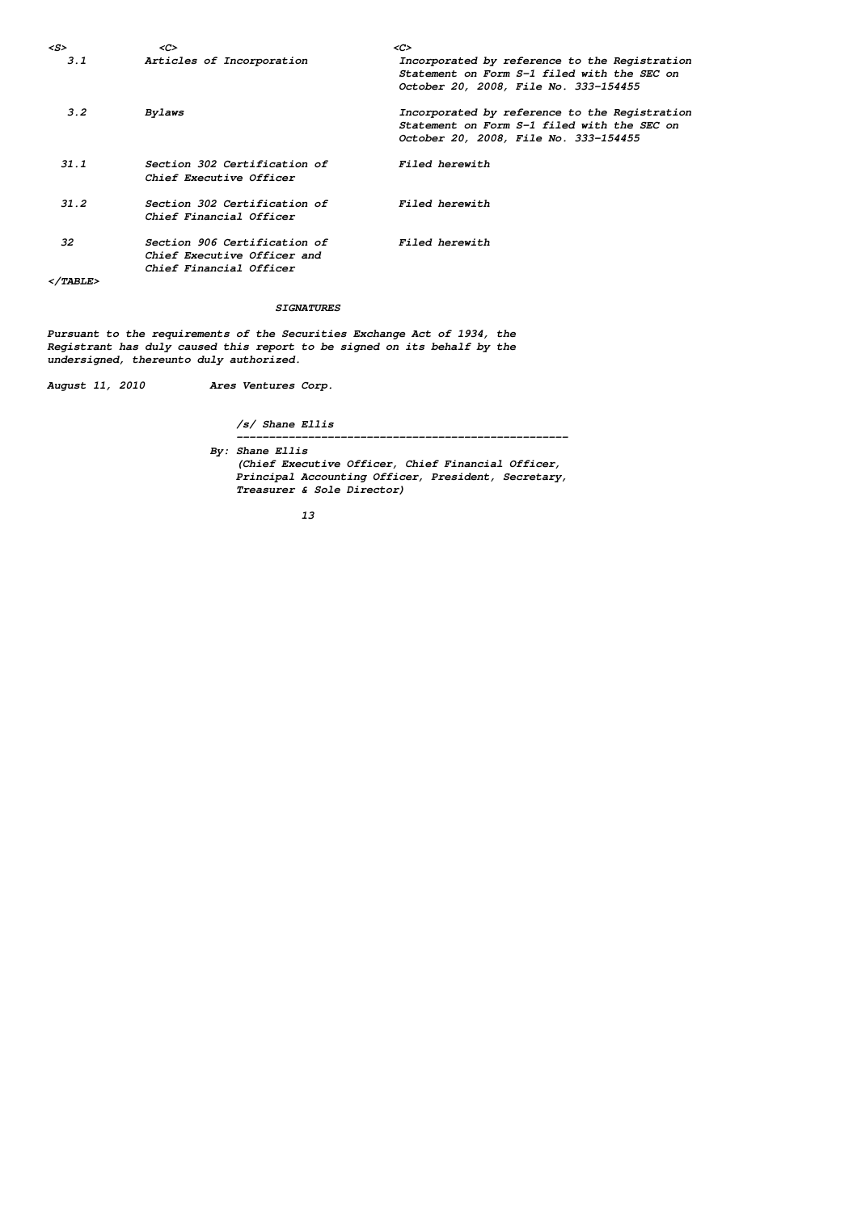| <s></s>       | <c></c>                                                                                | <c></c>                                                                                                                               |
|---------------|----------------------------------------------------------------------------------------|---------------------------------------------------------------------------------------------------------------------------------------|
| 3.1           | Articles of Incorporation                                                              | Incorporated by reference to the Registration<br>Statement on Form S-1 filed with the SEC on<br>October 20, 2008, File No. 333-154455 |
| $3.2^{\circ}$ | Bylaws                                                                                 | Incorporated by reference to the Registration<br>Statement on Form S-1 filed with the SEC on<br>October 20, 2008, File No. 333-154455 |
| 31.1          | Section 302 Certification of<br><i>Chief Executive Officer</i>                         | <i>Filed</i> herewith                                                                                                                 |
| 31.2          | Section 302 Certification of<br>Chief Financial Officer                                | <i>Filed</i> herewith                                                                                                                 |
| 32            | Section 906 Certification of<br>Chief Executive Officer and<br>Chief Financial Officer | <i>Filed</i> herewith                                                                                                                 |
| <i></i>       |                                                                                        |                                                                                                                                       |

  |  ||  |  |  |
**SIGNATURES**

**Pursuant to the requirements of the Securities Exchange Act of 1934, the Registrant has duly caused this report to be signed on its behalf by the undersigned, thereunto duly authorized.**

**August 11, 2010 Ares Ventures Corp.**

**/s/ Shane Ellis**

**--------------------------------------------------- By: Shane Ellis (Chief Executive Officer, Chief Financial Officer, Principal Accounting Officer, President, Secretary, Treasurer & Sole Director)**

**13**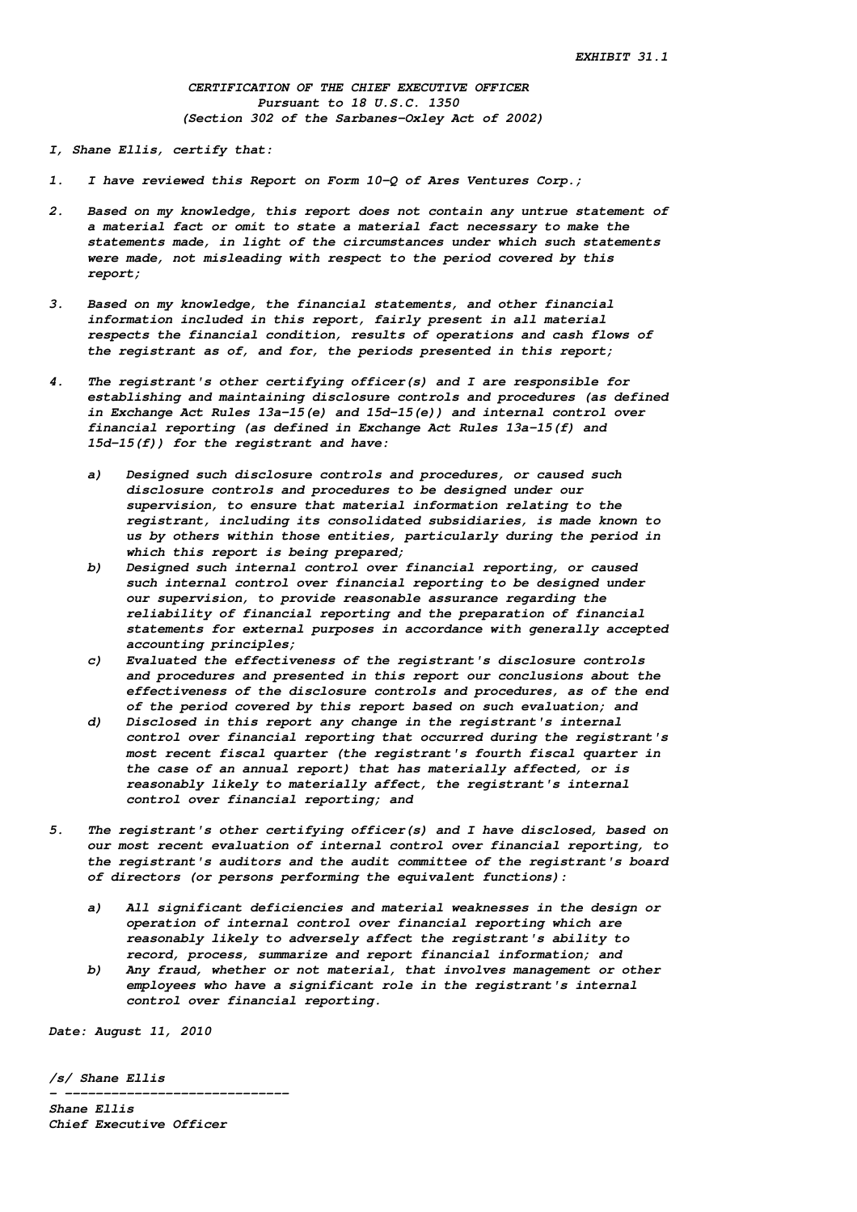**CERTIFICATION OF THE CHIEF EXECUTIVE OFFICER Pursuant to 18 U.S.C. 1350 (Section 302 of the Sarbanes-Oxley Act of 2002)**

- **I, Shane Ellis, certify that:**
- **1. I have reviewed this Report on Form 10-Q of Ares Ventures Corp.;**
- **2. Based on my knowledge, this report does not contain any untrue statement of a material fact or omit to state a material fact necessary to make the statements made, in light of the circumstances under which such statements were made, not misleading with respect to the period covered by this report;**
- **3. Based on my knowledge, the financial statements, and other financial information included in this report, fairly present in all material respects the financial condition, results of operations and cash flows of the registrant as of, and for, the periods presented in this report;**
- **4. The registrant's other certifying officer(s) and I are responsible for establishing and maintaining disclosure controls and procedures (as defined in Exchange Act Rules 13a-15(e) and 15d-15(e)) and internal control over financial reporting (as defined in Exchange Act Rules 13a-15(f) and 15d-15(f)) for the registrant and have:**
	- **a) Designed such disclosure controls and procedures, or caused such disclosure controls and procedures to be designed under our supervision, to ensure that material information relating to the registrant, including its consolidated subsidiaries, is made known to us by others within those entities, particularly during the period in which this report is being prepared;**
	- **b) Designed such internal control over financial reporting, or caused such internal control over financial reporting to be designed under our supervision, to provide reasonable assurance regarding the reliability of financial reporting and the preparation of financial statements for external purposes in accordance with generally accepted accounting principles;**
	- **c) Evaluated the effectiveness of the registrant's disclosure controls and procedures and presented in this report our conclusions about the effectiveness of the disclosure controls and procedures, as of the end of the period covered by this report based on such evaluation; and**
	- **d) Disclosed in this report any change in the registrant's internal control over financial reporting that occurred during the registrant's most recent fiscal quarter (the registrant's fourth fiscal quarter in the case of an annual report) that has materially affected, or is reasonably likely to materially affect, the registrant's internal control over financial reporting; and**
- **5. The registrant's other certifying officer(s) and I have disclosed, based on our most recent evaluation of internal control over financial reporting, to the registrant's auditors and the audit committee of the registrant's board of directors (or persons performing the equivalent functions):**
	- **a) All significant deficiencies and material weaknesses in the design or operation of internal control over financial reporting which are reasonably likely to adversely affect the registrant's ability to record, process, summarize and report financial information; and**
	- **b) Any fraud, whether or not material, that involves management or other employees who have a significant role in the registrant's internal control over financial reporting.**

**Date: August 11, 2010**

**/s/ Shane Ellis**

**- ----------------------------- Shane Ellis Chief Executive Officer**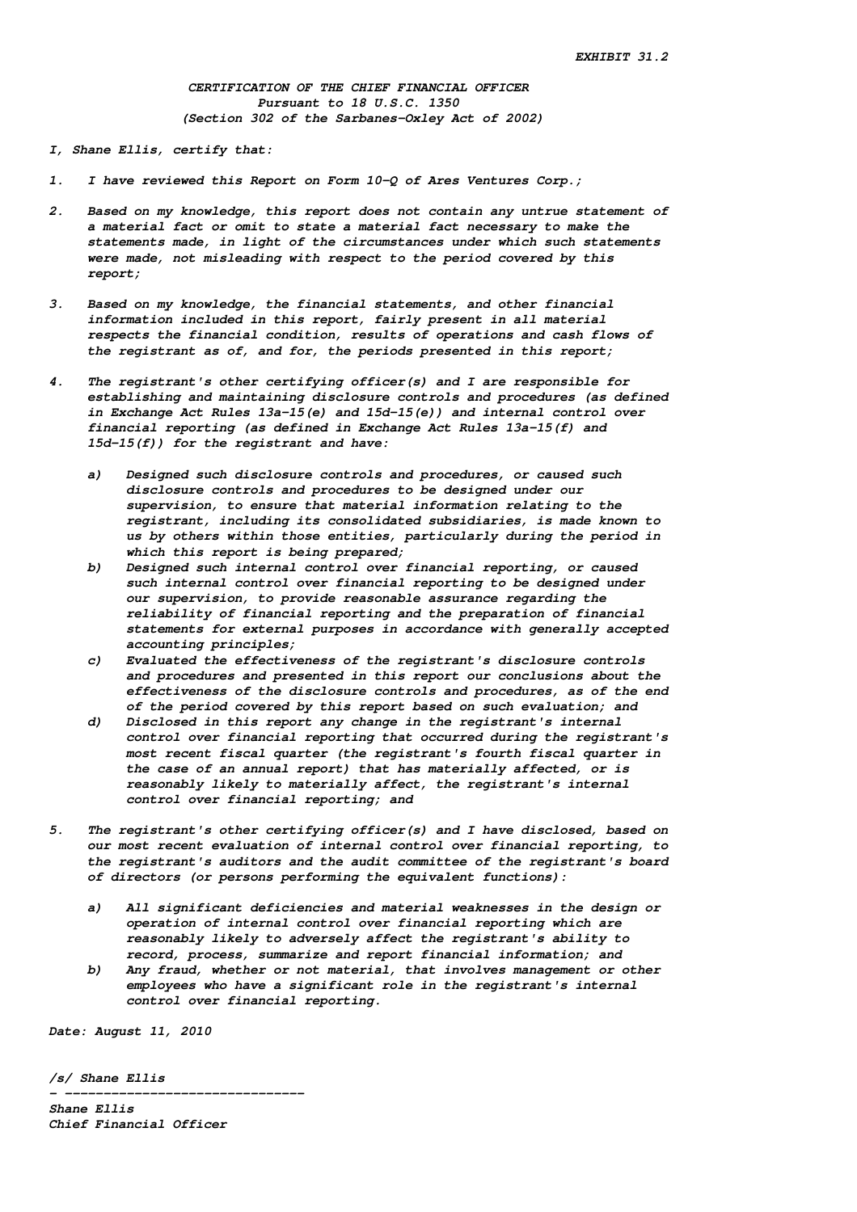**CERTIFICATION OF THE CHIEF FINANCIAL OFFICER Pursuant to 18 U.S.C. 1350 (Section 302 of the Sarbanes-Oxley Act of 2002)**

- **I, Shane Ellis, certify that:**
- **1. I have reviewed this Report on Form 10-Q of Ares Ventures Corp.;**
- **2. Based on my knowledge, this report does not contain any untrue statement of a material fact or omit to state a material fact necessary to make the statements made, in light of the circumstances under which such statements were made, not misleading with respect to the period covered by this report;**
- **3. Based on my knowledge, the financial statements, and other financial information included in this report, fairly present in all material respects the financial condition, results of operations and cash flows of the registrant as of, and for, the periods presented in this report;**
- **4. The registrant's other certifying officer(s) and I are responsible for establishing and maintaining disclosure controls and procedures (as defined in Exchange Act Rules 13a-15(e) and 15d-15(e)) and internal control over financial reporting (as defined in Exchange Act Rules 13a-15(f) and 15d-15(f)) for the registrant and have:**
	- **a) Designed such disclosure controls and procedures, or caused such disclosure controls and procedures to be designed under our supervision, to ensure that material information relating to the registrant, including its consolidated subsidiaries, is made known to us by others within those entities, particularly during the period in which this report is being prepared;**
	- **b) Designed such internal control over financial reporting, or caused such internal control over financial reporting to be designed under our supervision, to provide reasonable assurance regarding the reliability of financial reporting and the preparation of financial statements for external purposes in accordance with generally accepted accounting principles;**
	- **c) Evaluated the effectiveness of the registrant's disclosure controls and procedures and presented in this report our conclusions about the effectiveness of the disclosure controls and procedures, as of the end of the period covered by this report based on such evaluation; and**
	- **d) Disclosed in this report any change in the registrant's internal control over financial reporting that occurred during the registrant's most recent fiscal quarter (the registrant's fourth fiscal quarter in the case of an annual report) that has materially affected, or is reasonably likely to materially affect, the registrant's internal control over financial reporting; and**
- **5. The registrant's other certifying officer(s) and I have disclosed, based on our most recent evaluation of internal control over financial reporting, to the registrant's auditors and the audit committee of the registrant's board of directors (or persons performing the equivalent functions):**
	- **a) All significant deficiencies and material weaknesses in the design or operation of internal control over financial reporting which are reasonably likely to adversely affect the registrant's ability to record, process, summarize and report financial information; and**
	- **b) Any fraud, whether or not material, that involves management or other employees who have a significant role in the registrant's internal control over financial reporting.**

**Date: August 11, 2010**

**/s/ Shane Ellis**

**- ------------------------------- Shane Ellis Chief Financial Officer**